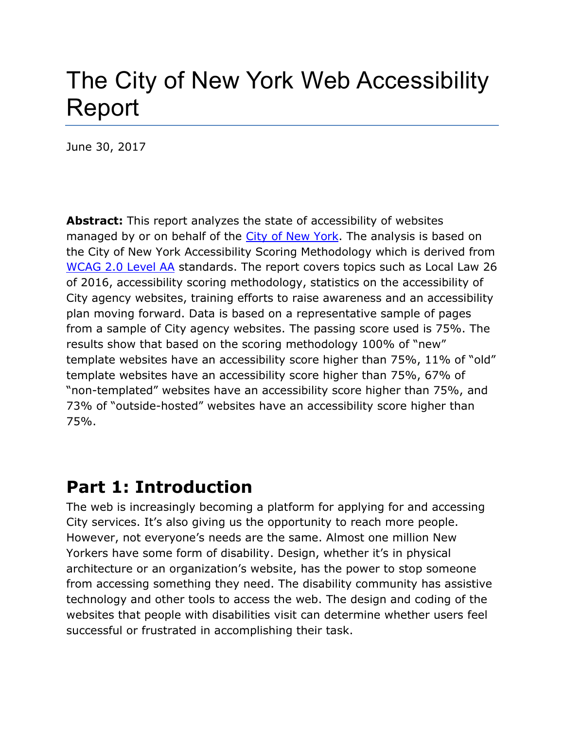# The City of New York Web Accessibility Report

June 30, 2017

**Abstract:** This report analyzes the state of accessibility of websites managed by or on behalf of the [City of New York.](http://www.nyc.gov/) The analysis is based on the City of New York Accessibility Scoring Methodology which is derived from [WCAG 2.0 Level AA](http://www.w3.org/TR/WCAG/) standards. The report covers topics such as Local Law 26 of 2016, accessibility scoring methodology, statistics on the accessibility of City agency websites, training efforts to raise awareness and an accessibility plan moving forward. Data is based on a representative sample of pages from a sample of City agency websites. The passing score used is 75%. The results show that based on the scoring methodology 100% of "new" template websites have an accessibility score higher than 75%, 11% of "old" template websites have an accessibility score higher than 75%, 67% of "non-templated" websites have an accessibility score higher than 75%, and 73% of "outside-hosted" websites have an accessibility score higher than 75%.

## **Part 1: Introduction**

The web is increasingly becoming a platform for applying for and accessing City services. It's also giving us the opportunity to reach more people. However, not everyone's needs are the same. Almost one million New Yorkers have some form of disability. Design, whether it's in physical architecture or an organization's website, has the power to stop someone from accessing something they need. The disability community has assistive technology and other tools to access the web. The design and coding of the websites that people with disabilities visit can determine whether users feel successful or frustrated in accomplishing their task.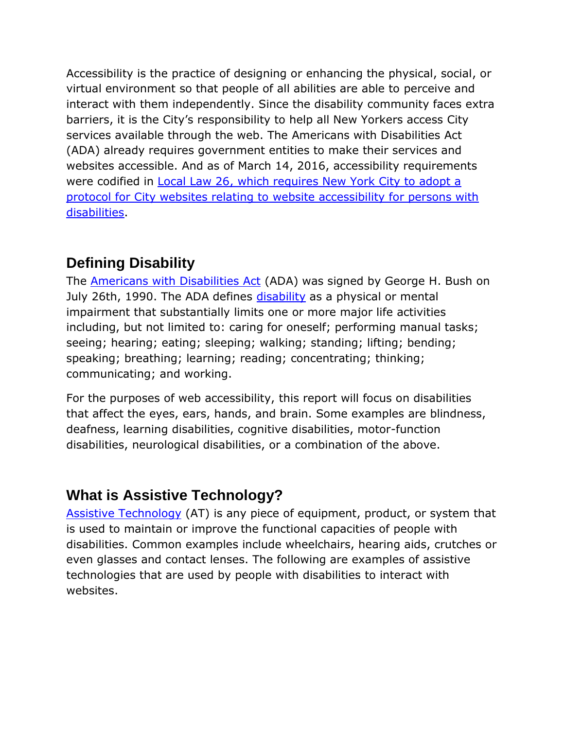Accessibility is the practice of designing or enhancing the physical, social, or virtual environment so that people of all abilities are able to perceive and interact with them independently. Since the disability community faces extra barriers, it is the City's responsibility to help all New Yorkers access City services available through the web. The Americans with Disabilities Act (ADA) already requires government entities to make their services and websites accessible. And as of March 14, 2016, accessibility requirements were codified in [Local Law 26,](http://www.nyc.gov/html/mopd/downloads/pdf/local_law_26.pdf) which requires New York City to adopt a protocol for City websites relating to website accessibility for persons with disabilities.

## **Defining Disability**

The [Americans with Disabilities Act](https://adata.org/learn-about-ada) (ADA) was signed by George H. Bush on July 26th, 1990. The ADA defines [disability](https://adata.org/faq/what-definition-disability-under-ada) as a physical or mental impairment that substantially limits one or more major life activities including, but not limited to: caring for oneself; performing manual tasks; seeing; hearing; eating; sleeping; walking; standing; lifting; bending; speaking; breathing; learning; reading; concentrating; thinking; communicating; and working.

For the purposes of web accessibility, this report will focus on disabilities that affect the eyes, ears, hands, and brain. Some examples are blindness, deafness, learning disabilities, cognitive disabilities, motor-function disabilities, neurological disabilities, or a combination of the above.

## **What is Assistive Technology?**

[Assistive Technology](https://www.atia.org/at-resources/what-is-at/#what-is-assistive-technology) (AT) is any piece of equipment, product, or system that is used to maintain or improve the functional capacities of people with disabilities. Common examples include wheelchairs, hearing aids, crutches or even glasses and contact lenses. The following are examples of assistive technologies that are used by people with disabilities to interact with websites.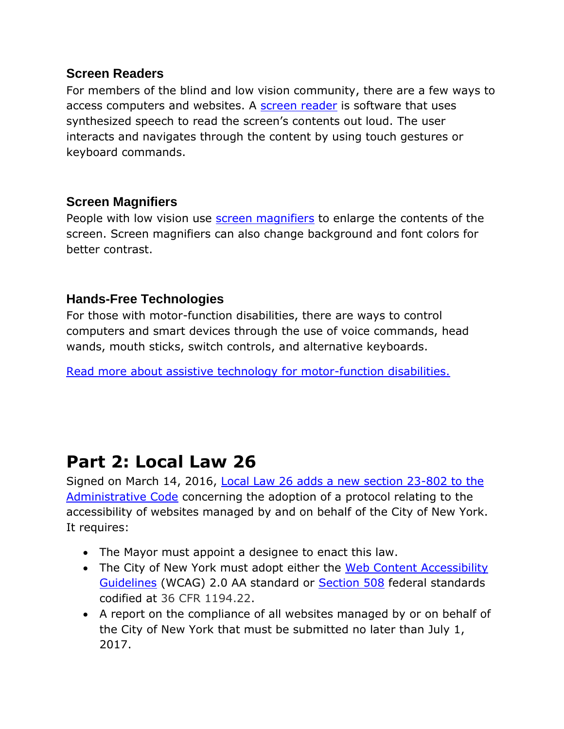#### **Screen Readers**

For members of the blind and low vision community, there are a few ways to access computers and websites. A [screen reader](http://www.afb.org/prodBrowseCatResults.aspx?CatID=49) is software that uses synthesized speech to read the screen's contents out loud. The user interacts and navigates through the content by using touch gestures or keyboard commands.

### **Screen Magnifiers**

People with low vision use [screen magnifiers](http://www.afb.org/prodBrowseCatResults.aspx?CatID=39) to enlarge the contents of the screen. Screen magnifiers can also change background and font colors for better contrast.

### **Hands-Free Technologies**

For those with motor-function disabilities, there are ways to control computers and smart devices through the use of voice commands, head wands, mouth sticks, switch controls, and alternative keyboards.

[Read more about assistive technology for motor-function disabilities.](http://www.gmc-uk.org/accessibility/assistive_technologies/physical_impairments.asp)

## **Part 2: Local Law 26**

Signed on March 14, 2016, [Local Law 26](http://www.nyc.gov/html/mopd/downloads/pdf/local_law_26.pdf) adds a new section 23-802 to the Administrative Code concerning the adoption of a protocol relating to the accessibility of websites managed by and on behalf of the City of New York. It requires:

- The Mayor must appoint a designee to enact this law.
- The City of New York must adopt either the Web Content Accessibility [Guidelines](http://www.w3.org/TR/WCAG/) (WCAG) 2.0 AA standard or [Section 508](https://www.section508.gov/content/learn/laws-and-policies) federal standards codified at 36 CFR 1194.22.
- A report on the compliance of all websites managed by or on behalf of the City of New York that must be submitted no later than July 1, 2017.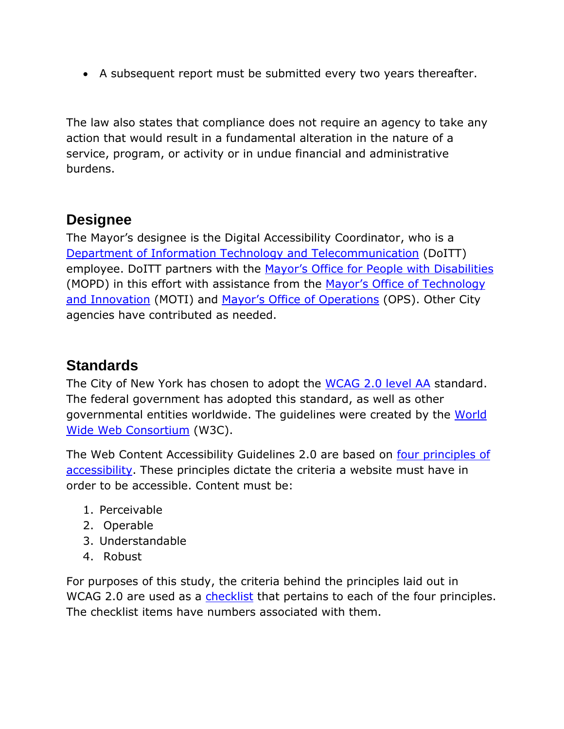A subsequent report must be submitted every two years thereafter.

The law also states that compliance does not require an agency to take any action that would result in a fundamental alteration in the nature of a service, program, or activity or in undue financial and administrative burdens.

### **Designee**

The Mayor's designee is the Digital Accessibility Coordinator, who is a [Department of Information Technology and Telecommunication](http://www.nyc.gov/doitt) (DoITT) employee. DoITT partners with the [Mayor's Office for People with Disabilities](http://www.nyc.gov/mopd) (MOPD) in this effort with assistance from the Mayor's Office of Technology and [Innovation](http://www1.nyc.gov/site/forward/index.page) (MOTI) and [Mayor's Office of Operations](http://www1.nyc.gov/site/operations/index.page) (OPS). Other City agencies have contributed as needed.

### **Standards**

The City of New York has chosen to adopt the [WCAG 2.0 level AA](http://www.w3.org/TR/WCAG/) standard. The federal government has adopted this standard, as well as other governmental entities worldwide. The guidelines were created by the [World](http://www.w3.org/)  [Wide Web Consortium](http://www.w3.org/) (W3C).

The Web Content Accessibility Guidelines 2.0 are based on four [principles](http://www.w3.org/TR/UNDERSTANDING-WCAG20/intro.html) of accessibility. These principles dictate the criteria a website must have in order to be accessible. Content must be:

- 1. Perceivable
- 2. Operable
- 3. Understandable
- 4. Robust

For purposes of this study, the criteria behind the principles laid out in WCAG 2.0 are used as a [checklist](http://www.w3.org/TR/2008/REC-WCAG20-20081211/#contents) that pertains to each of the four principles. The checklist items have numbers associated with them.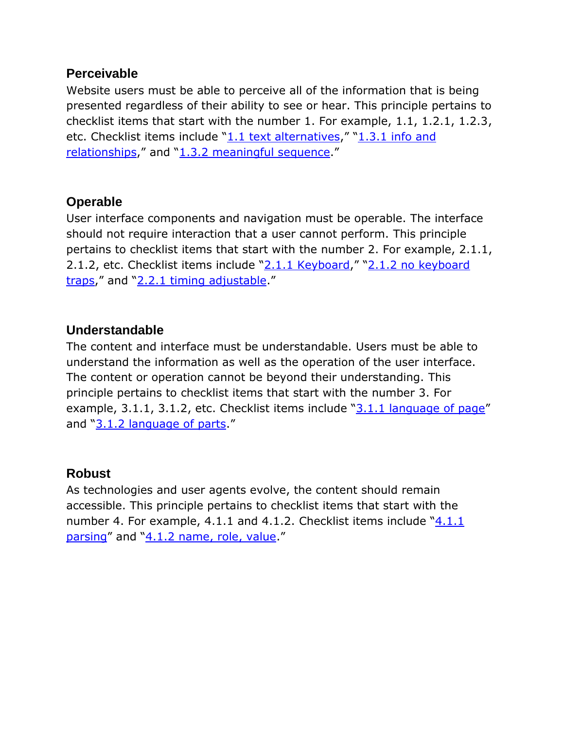#### **Perceivable**

Website users must be able to perceive all of the information that is being presented regardless of their ability to see or hear. This principle pertains to checklist items that start with the number 1. For example, 1.1, 1.2.1, 1.2.3, etc. Checklist items include "[1.1 text alternatives,](http://www.w3.org/TR/UNDERSTANDING-WCAG20/text-equiv-all.html)" "[1.3.1 info and](http://www.w3.org/TR/UNDERSTANDING-WCAG20/content-structure-separation-programmatic.html)  [relationships](http://www.w3.org/TR/UNDERSTANDING-WCAG20/content-structure-separation-programmatic.html)," and "[1.3.2 meaningful sequence.](http://www.w3.org/TR/UNDERSTANDING-WCAG20/content-structure-separation-sequence.html)"

### **Operable**

User interface components and navigation must be operable. The interface should not require interaction that a user cannot perform. This principle pertains to checklist items that start with the number 2. For example, 2.1.1, 2.1.2, etc. Checklist items include "[2.1.1 Keyboard,](http://www.w3.org/TR/UNDERSTANDING-WCAG20/keyboard-operation-keyboard-operable.html)" "[2.1.2 no keyboard](http://www.w3.org/TR/UNDERSTANDING-WCAG20/keyboard-operation-trapping.html)  [traps](http://www.w3.org/TR/UNDERSTANDING-WCAG20/keyboard-operation-trapping.html)," and "2.2.1 [timing adjustable.](http://www.w3.org/TR/UNDERSTANDING-WCAG20/time-limits-required-behaviors.html)"

### **Understandable**

The content and interface must be understandable. Users must be able to understand the information as well as the operation of the user interface. The content or operation cannot be beyond their understanding. This principle pertains to checklist items that start with the number 3. For example, 3.1.1, 3.1.2, etc. Checklist items include  $\sqrt{3.1.1}$  language of page" and "[3.1.2 language of parts.](http://www.w3.org/TR/UNDERSTANDING-WCAG20/meaning-other-lang-id.html)"

### **Robust**

As technologies and user agents evolve, the content should remain accessible. This principle pertains to checklist items that start with the number 4. For example, [4.1.1](http://www.w3.org/TR/UNDERSTANDING-WCAG20/ensure-compat-parses.html) and 4.1.2. Checklist items include "4.1.1" [parsing](http://www.w3.org/TR/UNDERSTANDING-WCAG20/ensure-compat-parses.html)" and "[4.1.2 name, role, value.](http://www.w3.org/TR/UNDERSTANDING-WCAG20/ensure-compat-rsv.html)"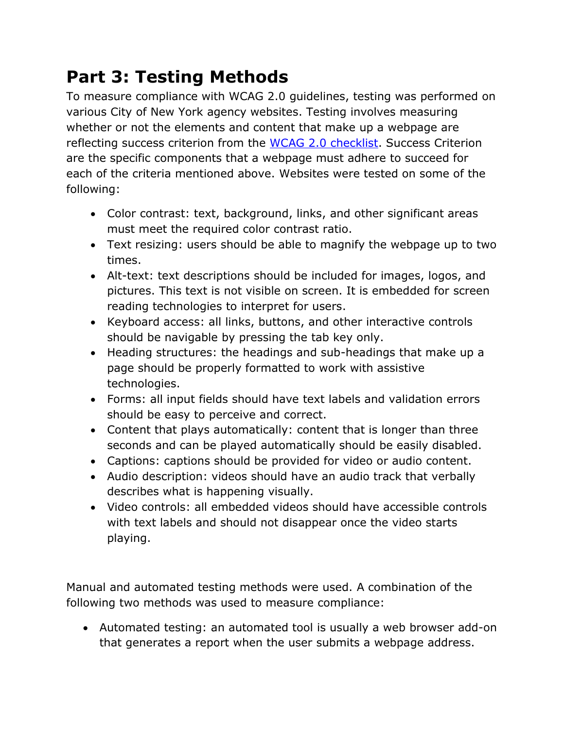## **Part 3: Testing Methods**

To measure compliance with WCAG 2.0 guidelines, testing was performed on various City of New York agency websites. Testing involves measuring whether or not the elements and content that make up a webpage are reflecting success criterion from the [WCAG 2.0 checklist.](http://www.w3.org/TR/2008/REC-WCAG20-20081211/#contents) Success Criterion are the specific components that a webpage must adhere to succeed for each of the criteria mentioned above. Websites were tested on some of the following:

- Color contrast: text, background, links, and other significant areas must meet the required color contrast ratio.
- Text resizing: users should be able to magnify the webpage up to two times.
- Alt-text: text descriptions should be included for images, logos, and pictures. This text is not visible on screen. It is embedded for screen reading technologies to interpret for users.
- Keyboard access: all links, buttons, and other interactive controls should be navigable by pressing the tab key only.
- Heading structures: the headings and sub-headings that make up a page should be properly formatted to work with assistive technologies.
- Forms: all input fields should have text labels and validation errors should be easy to perceive and correct.
- Content that plays automatically: content that is longer than three seconds and can be played automatically should be easily disabled.
- Captions: captions should be provided for video or audio content.
- Audio description: videos should have an audio track that verbally describes what is happening visually.
- Video controls: all embedded videos should have accessible controls with text labels and should not disappear once the video starts playing.

Manual and automated testing methods were used. A combination of the following two methods was used to measure compliance:

 Automated testing: an automated tool is usually a web browser add-on that generates a report when the user submits a webpage address.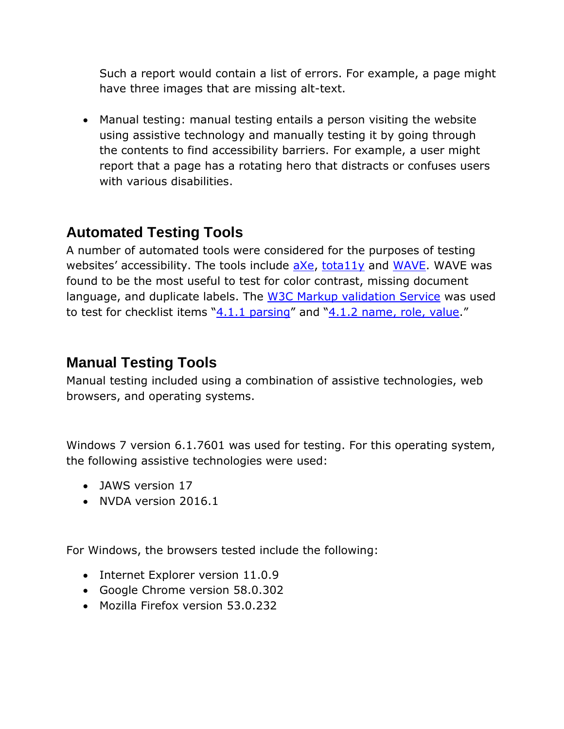Such a report would contain a list of errors. For example, a page might have three images that are missing alt-text.

 Manual testing: manual testing entails a person visiting the website using assistive technology and manually testing it by going through the contents to find accessibility barriers. For example, a user might report that a page has a rotating hero that distracts or confuses users with various disabilities.

## **Automated Testing Tools**

A number of automated tools were considered for the purposes of testing websites' accessibility. The tools include [aXe,](https://www.deque.com/products/axe/) [tota11y](http://khan.github.io/tota11y/) and [WAVE.](http://wave.webaim.org/) WAVE was found to be the most useful to test for color contrast, missing document language, and duplicate labels. The [W3C Markup validation Service](https://validator.w3.org/) was used to test for checklist items "[4.1.1 parsing](http://www.w3.org/TR/UNDERSTANDING-WCAG20/ensure-compat-parses.html)" and "[4.1.2 name, role, value](http://www.w3.org/TR/UNDERSTANDING-WCAG20/ensure-compat-rsv.html)."

### **Manual Testing Tools**

Manual testing included using a combination of assistive technologies, web browsers, and operating systems.

Windows 7 version 6.1.7601 was used for testing. For this operating system, the following assistive technologies were used:

- JAWS version 17
- NVDA version 2016.1

For Windows, the browsers tested include the following:

- Internet Explorer version 11.0.9
- Google Chrome version 58.0.302
- Mozilla Firefox version 53.0.232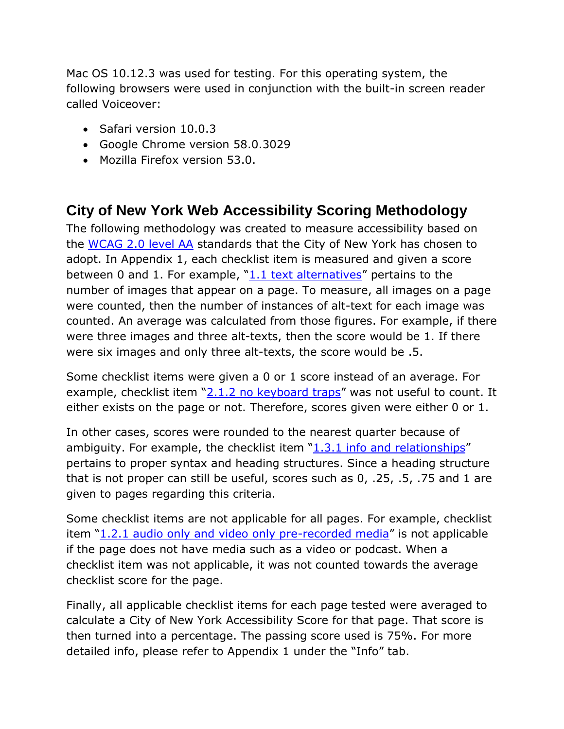Mac OS 10.12.3 was used for testing. For this operating system, the following browsers were used in conjunction with the built-in screen reader called Voiceover:

- Safari version 10.0.3
- Google Chrome version 58.0.3029
- Mozilla Firefox version 53.0.

## **City of New York Web Accessibility Scoring Methodology**

The following methodology was created to measure accessibility based on the [WCAG 2.0 level AA](http://www.w3.org/TR/UNDERSTANDING-WCAG20/intro.html) standards that the City of New York has chosen to adopt. In Appendix 1, each checklist item is measured and given a score between 0 and 1. For example, " $1.1$  text alternatives" pertains to the number of images that appear on a page. To measure, all images on a page were counted, then the number of instances of alt-text for each image was counted. An average was calculated from those figures. For example, if there were three images and three alt-texts, then the score would be 1. If there were six images and only three alt-texts, the score would be .5.

Some checklist items were given a 0 or 1 score instead of an average. For example, checklist item "[2.1.2 no keyboard traps](http://www.w3.org/TR/UNDERSTANDING-WCAG20/keyboard-operation-trapping.html)" was not useful to count. It either exists on the page or not. Therefore, scores given were either 0 or 1.

In other cases, scores were rounded to the nearest quarter because of ambiguity. For example, the checklist item  $"1.3.1$  info and relationships" pertains to proper syntax and heading structures. Since a heading structure that is not proper can still be useful, scores such as 0, .25, .5, .75 and 1 are given to pages regarding this criteria.

Some checklist items are not applicable for all pages. For example, checklist item "[1.2.1 audio only and video only pre-recorded media](http://www.w3.org/TR/UNDERSTANDING-WCAG20/media-equiv-av-only-alt.html)" is not applicable if the page does not have media such as a video or podcast. When a checklist item was not applicable, it was not counted towards the average checklist score for the page.

Finally, all applicable checklist items for each page tested were averaged to calculate a City of New York Accessibility Score for that page. That score is then turned into a percentage. The passing score used is 75%. For more detailed info, please refer to Appendix 1 under the "Info" tab.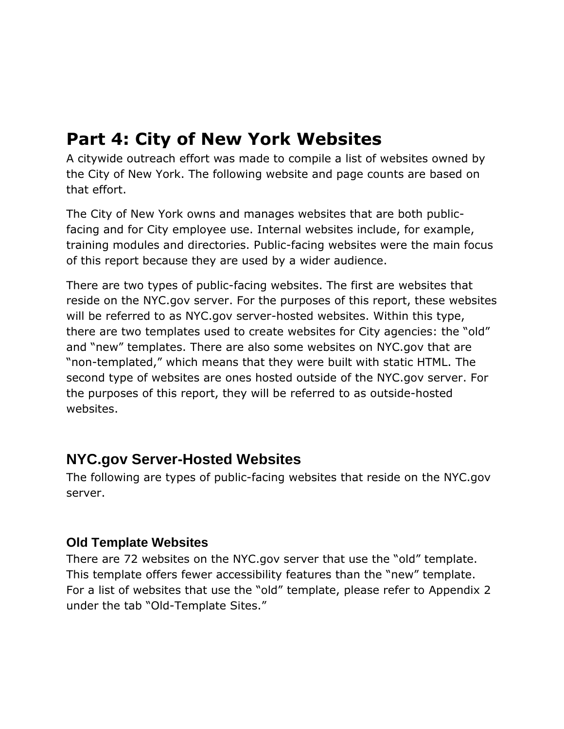## **Part 4: City of New York Websites**

A citywide outreach effort was made to compile a list of websites owned by the City of New York. The following website and page counts are based on that effort.

The City of New York owns and manages websites that are both publicfacing and for City employee use. Internal websites include, for example, training modules and directories. Public-facing websites were the main focus of this report because they are used by a wider audience.

There are two types of public-facing websites. The first are websites that reside on the NYC.gov server. For the purposes of this report, these websites will be referred to as NYC.gov server-hosted websites. Within this type, there are two templates used to create websites for City agencies: the "old" and "new" templates. There are also some websites on NYC.gov that are "non-templated," which means that they were built with static HTML. The second type of websites are ones hosted outside of the NYC.gov server. For the purposes of this report, they will be referred to as outside-hosted websites.

### **NYC.gov Server-Hosted Websites**

The following are types of public-facing websites that reside on the NYC.gov server.

### **Old Template Websites**

There are 72 websites on the NYC.gov server that use the "old" template. This template offers fewer accessibility features than the "new" template. For a list of websites that use the "old" template, please refer to Appendix 2 under the tab "Old-Template Sites."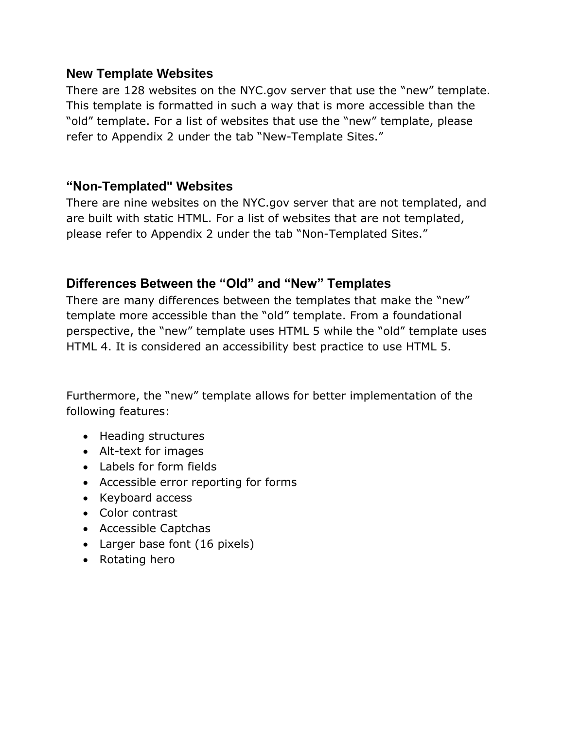#### **New Template Websites**

There are 128 websites on the NYC.gov server that use the "new" template. This template is formatted in such a way that is more accessible than the "old" template. For a list of websites that use the "new" template, please refer to Appendix 2 under the tab "New-Template Sites."

### **"Non-Templated" Websites**

There are nine websites on the NYC.gov server that are not templated, and are built with static HTML. For a list of websites that are not templated, please refer to Appendix 2 under the tab "Non-Templated Sites."

### **Differences Between the "Old" and "New" Templates**

There are many differences between the templates that make the "new" template more accessible than the "old" template. From a foundational perspective, the "new" template uses HTML 5 while the "old" template uses HTML 4. It is considered an accessibility best practice to use HTML 5.

Furthermore, the "new" template allows for better implementation of the following features:

- Heading structures
- Alt-text for images
- Labels for form fields
- Accessible error reporting for forms
- Keyboard access
- Color contrast
- Accessible Captchas
- Larger base font (16 pixels)
- Rotating hero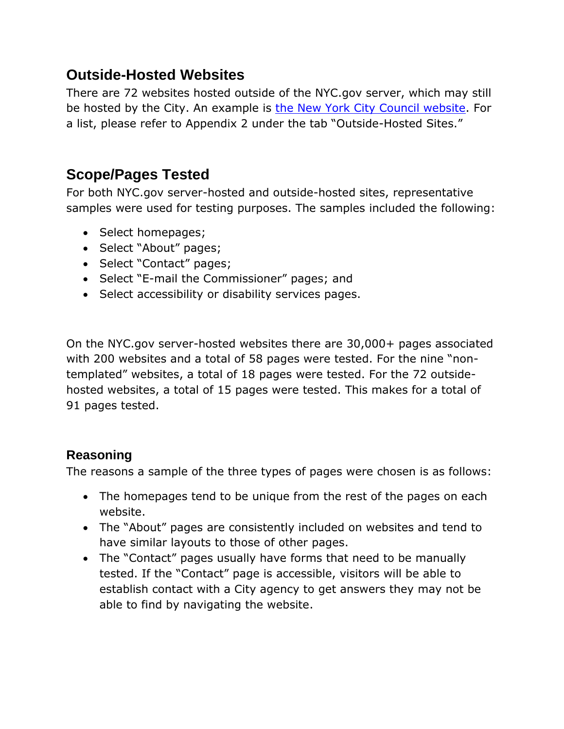### **Outside-Hosted Websites**

There are 72 websites hosted outside of the NYC.gov server, which may still be hosted by the City. An example is [the New York City Council website.](http://www.council.nyc.gov/) For a list, please refer to Appendix 2 under the tab "Outside-Hosted Sites."

## **Scope/Pages Tested**

For both NYC.gov server-hosted and outside-hosted sites, representative samples were used for testing purposes. The samples included the following:

- Select homepages;
- Select "About" pages;
- Select "Contact" pages;
- Select "E-mail the Commissioner" pages; and
- Select accessibility or disability services pages.

On the NYC.gov server-hosted websites there are 30,000+ pages associated with 200 websites and a total of 58 pages were tested. For the nine "nontemplated" websites, a total of 18 pages were tested. For the 72 outsidehosted websites, a total of 15 pages were tested. This makes for a total of 91 pages tested.

### **Reasoning**

The reasons a sample of the three types of pages were chosen is as follows:

- The homepages tend to be unique from the rest of the pages on each website.
- The "About" pages are consistently included on websites and tend to have similar layouts to those of other pages.
- The "Contact" pages usually have forms that need to be manually tested. If the "Contact" page is accessible, visitors will be able to establish contact with a City agency to get answers they may not be able to find by navigating the website.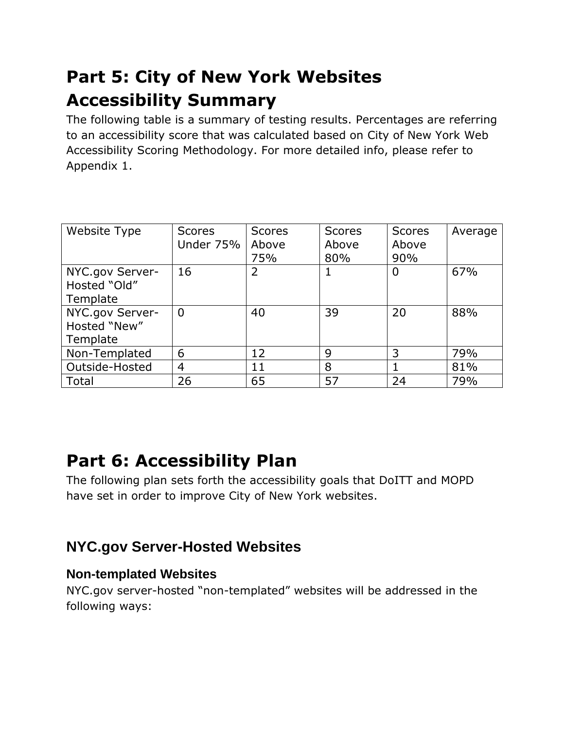## **Part 5: City of New York Websites Accessibility Summary**

The following table is a summary of testing results. Percentages are referring to an accessibility score that was calculated based on City of New York Web Accessibility Scoring Methodology. For more detailed info, please refer to Appendix 1.

| Website Type                                | <b>Scores</b><br>Under 75% | <b>Scores</b><br>Above<br>75% | <b>Scores</b><br>Above<br>80% | <b>Scores</b><br>Above<br>90% | Average |
|---------------------------------------------|----------------------------|-------------------------------|-------------------------------|-------------------------------|---------|
| NYC.gov Server-<br>Hosted "Old"<br>Template | 16                         | 2                             |                               | $\overline{0}$                | 67%     |
| NYC.gov Server-<br>Hosted "New"<br>Template | $\Omega$                   | 40                            | 39                            | 20                            | 88%     |
| Non-Templated                               | 6                          | 12                            | 9                             | 3                             | 79%     |
| Outside-Hosted                              | $\overline{4}$             | 11                            | 8                             |                               | 81%     |
| Total                                       | 26                         | 65                            | 57                            | 24                            | 79%     |

## **Part 6: Accessibility Plan**

The following plan sets forth the accessibility goals that DoITT and MOPD have set in order to improve City of New York websites.

## **NYC.gov Server-Hosted Websites**

### **Non-templated Websites**

NYC.gov server-hosted "non-templated" websites will be addressed in the following ways: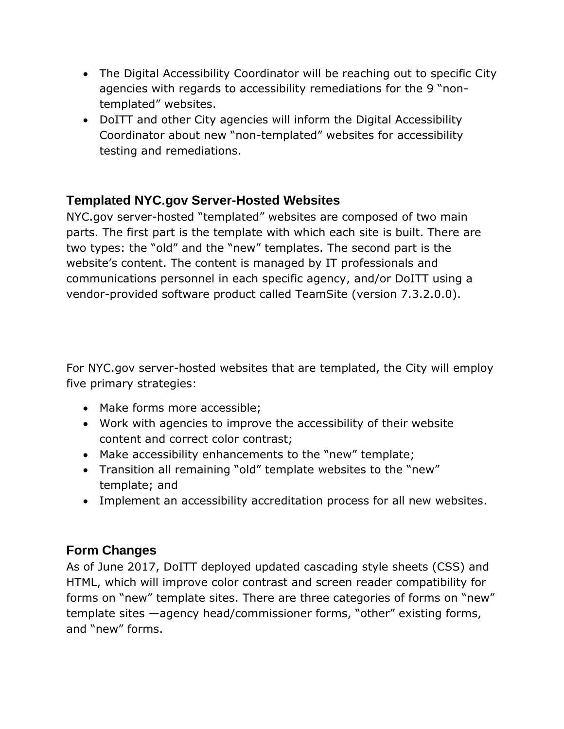- The Digital Accessibility Coordinator will be reaching out to specific City agencies with regards to accessibility remediations for the 9 "nontemplated" websites.
- DoITT and other City agencies will inform the Digital Accessibility Coordinator about new "non-templated" websites for accessibility testing and remediations.

### **Templated NYC.gov Server-Hosted Websites**

NYC.gov server-hosted "templated" websites are composed of two main parts. The first part is the template with which each site is built. There are two types: the "old" and the "new" templates. The second part is the website's content. The content is managed by IT professionals and communications personnel in each specific agency, and/or DoITT using a vendor-provided software product called TeamSite (version 7.3.2.0.0).

For NYC.gov server-hosted websites that are templated, the City will employ five primary strategies:

- Make forms more accessible;
- Work with agencies to improve the accessibility of their website content and correct color contrast;
- Make accessibility enhancements to the "new" template;
- Transition all remaining "old" template websites to the "new" template; and
- Implement an accessibility accreditation process for all new websites.

### **Form Changes**

As of June 2017, DoITT deployed updated cascading style sheets (CSS) and HTML, which will improve color contrast and screen reader compatibility for forms on "new" template sites. There are three categories of forms on "new" template sites —agency head/commissioner forms, "other" existing forms, and "new" forms.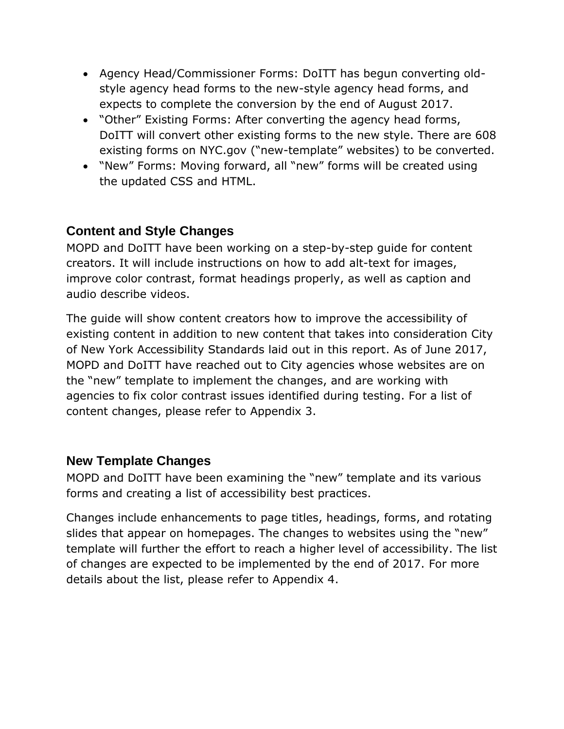- Agency Head/Commissioner Forms: DoITT has begun converting oldstyle agency head forms to the new-style agency head forms, and expects to complete the conversion by the end of August 2017.
- "Other" Existing Forms: After converting the agency head forms, DoITT will convert other existing forms to the new style. There are 608 existing forms on NYC.gov ("new-template" websites) to be converted.
- "New" Forms: Moving forward, all "new" forms will be created using the updated CSS and HTML.

### **Content and Style Changes**

MOPD and DoITT have been working on a step-by-step guide for content creators. It will include instructions on how to add alt-text for images, improve color contrast, format headings properly, as well as caption and audio describe videos.

The guide will show content creators how to improve the accessibility of existing content in addition to new content that takes into consideration City of New York Accessibility Standards laid out in this report. As of June 2017, MOPD and DoITT have reached out to City agencies whose websites are on the "new" template to implement the changes, and are working with agencies to fix color contrast issues identified during testing. For a list of content changes, please refer to Appendix 3.

### **New Template Changes**

MOPD and DoITT have been examining the "new" template and its various forms and creating a list of accessibility best practices.

Changes include enhancements to page titles, headings, forms, and rotating slides that appear on homepages. The changes to websites using the "new" template will further the effort to reach a higher level of accessibility. The list of changes are expected to be implemented by the end of 2017. For more details about the list, please refer to Appendix 4.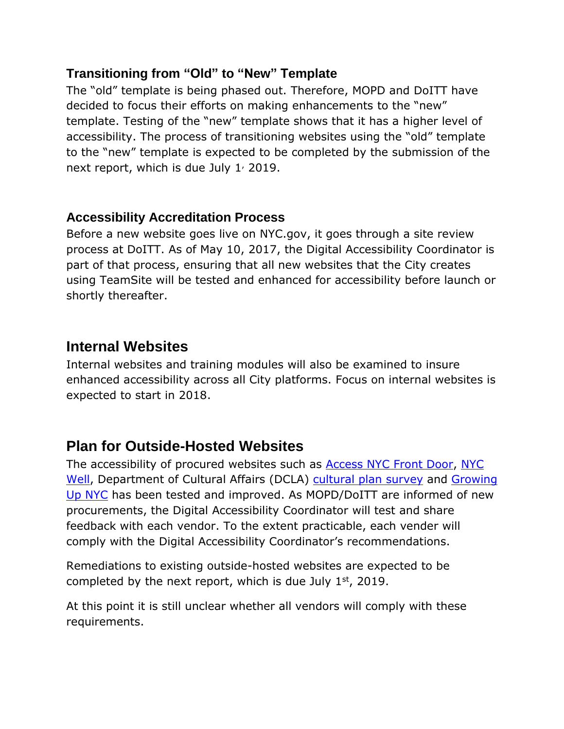### **Transitioning from "Old" to "New" Template**

The "old" template is being phased out. Therefore, MOPD and DoITT have decided to focus their efforts on making enhancements to the "new" template. Testing of the "new" template shows that it has a higher level of accessibility. The process of transitioning websites using the "old" template to the "new" template is expected to be completed by the submission of the next report, which is due July  $1/2019$ .

### **Accessibility Accreditation Process**

Before a new website goes live on NYC.gov, it goes through a site review process at DoITT. As of May 10, 2017, the Digital Accessibility Coordinator is part of that process, ensuring that all new websites that the City creates using TeamSite will be tested and enhanced for accessibility before launch or shortly thereafter.

### **Internal Websites**

Internal websites and training modules will also be examined to insure enhanced accessibility across all City platforms. Focus on internal websites is expected to start in 2018.

### **Plan for Outside-Hosted Websites**

The accessibility of procured websites such as **Access NYC [Front Door,](https://access.nyc.gov/) [NYC](https://nycwell.cityofnewyork.us/en/)** [Well,](https://nycwell.cityofnewyork.us/en/) Department of Cultural Affairs (DCLA) [cultural plan survey](http://createnyc.org/en/speak-up/) and [Growing](https://growingupnyc.cityofnewyork.us/)  [Up NYC](https://growingupnyc.cityofnewyork.us/) has been tested and improved. As MOPD/DoITT are informed of new procurements, the Digital Accessibility Coordinator will test and share feedback with each vendor. To the extent practicable, each vender will comply with the Digital Accessibility Coordinator's recommendations.

Remediations to existing outside-hosted websites are expected to be completed by the next report, which is due July  $1<sup>st</sup>$ , 2019.

At this point it is still unclear whether all vendors will comply with these requirements.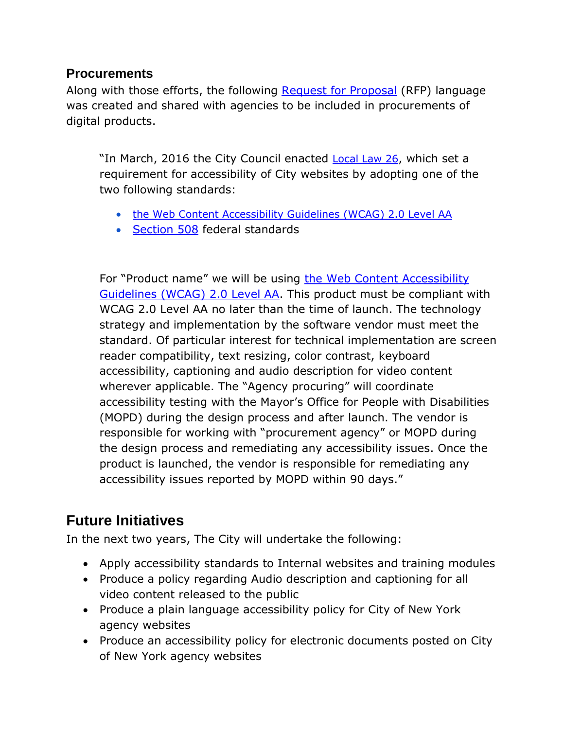### **Procurements**

Along with those efforts, the following [Request for Proposal](https://en.wikipedia.org/wiki/Request_for_proposal) (RFP) language was created and shared with agencies to be included in procurements of digital products.

"In March, 2016 the City Council enacted **[Local Law 26](http://www.nyc.gov/html/mopd/downloads/pdf/local_law_26.pdf)**, which set a requirement for accessibility of City websites by adopting one of the two following standards:

- [the Web Content Accessibility Guidelines \(WCAG\) 2.0 Level AA](https://www.w3.org/WAI/WCAG20/quickref/?currentsidebar=%23col_customize&levels=aaa)
- [Section 508](https://www.section508.gov/content/learn/laws-and-policies) federal standards

For "Product name" we will be using [the Web Content Accessibility](https://www.w3.org/WAI/WCAG20/quickref/?currentsidebar=%23col_customize&levels=aaa)  [Guidelines \(WCAG\) 2.0 Level AA.](https://www.w3.org/WAI/WCAG20/quickref/?currentsidebar=%23col_customize&levels=aaa) This product must be compliant with WCAG 2.0 Level AA no later than the time of launch. The technology strategy and implementation by the software vendor must meet the standard. Of particular interest for technical implementation are screen reader compatibility, text resizing, color contrast, keyboard accessibility, captioning and audio description for video content wherever applicable. The "Agency procuring" will coordinate accessibility testing with the Mayor's Office for People with Disabilities (MOPD) during the design process and after launch. The vendor is responsible for working with "procurement agency" or MOPD during the design process and remediating any accessibility issues. Once the product is launched, the vendor is responsible for remediating any accessibility issues reported by MOPD within 90 days."

### **Future Initiatives**

In the next two years, The City will undertake the following:

- Apply accessibility standards to Internal websites and training modules
- Produce a policy regarding Audio description and captioning for all video content released to the public
- Produce a plain language accessibility policy for City of New York agency websites
- Produce an accessibility policy for electronic documents posted on City of New York agency websites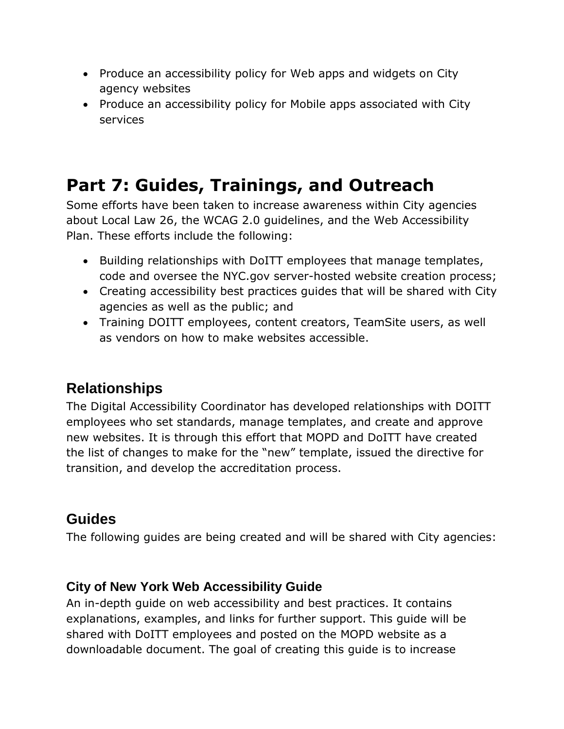- Produce an accessibility policy for Web apps and widgets on City agency websites
- Produce an accessibility policy for Mobile apps associated with City services

## **Part 7: Guides, Trainings, and Outreach**

Some efforts have been taken to increase awareness within City agencies about Local Law 26, the WCAG 2.0 guidelines, and the Web Accessibility Plan. These efforts include the following:

- Building relationships with DoITT employees that manage templates, code and oversee the NYC.gov server-hosted website creation process;
- Creating accessibility best practices guides that will be shared with City agencies as well as the public; and
- Training DOITT employees, content creators, TeamSite users, as well as vendors on how to make websites accessible.

## **Relationships**

The Digital Accessibility Coordinator has developed relationships with DOITT employees who set standards, manage templates, and create and approve new websites. It is through this effort that MOPD and DoITT have created the list of changes to make for the "new" template, issued the directive for transition, and develop the accreditation process.

## **Guides**

The following guides are being created and will be shared with City agencies:

### **City of New York Web Accessibility Guide**

An in-depth guide on web accessibility and best practices. It contains explanations, examples, and links for further support. This guide will be shared with DoITT employees and posted on the MOPD website as a downloadable document. The goal of creating this guide is to increase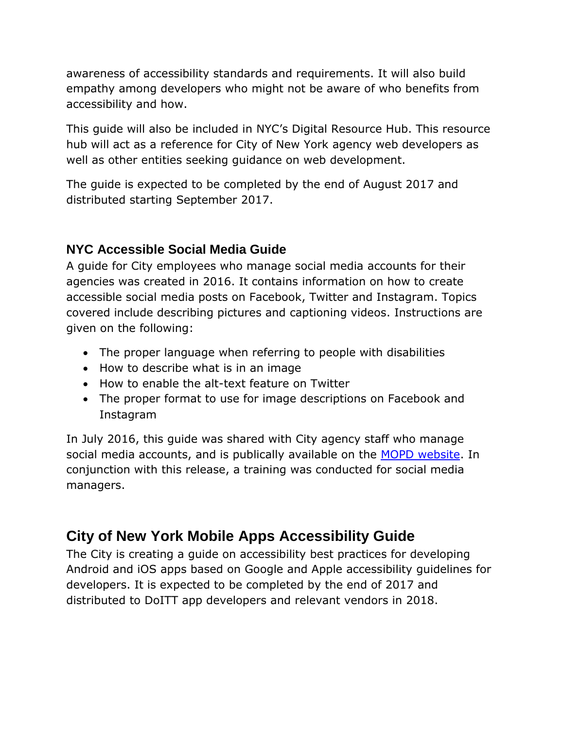awareness of accessibility standards and requirements. It will also build empathy among developers who might not be aware of who benefits from accessibility and how.

This guide will also be included in NYC's Digital Resource Hub. This resource hub will act as a reference for City of New York agency web developers as well as other entities seeking guidance on web development.

The guide is expected to be completed by the end of August 2017 and distributed starting September 2017.

### **NYC Accessible Social Media Guide**

A guide for City employees who manage social media accounts for their agencies was created in 2016. It contains information on how to create accessible social media posts on Facebook, Twitter and Instagram. Topics covered include describing pictures and captioning videos. Instructions are given on the following:

- The proper language when referring to people with disabilities
- How to describe what is in an image
- How to enable the alt-text feature on Twitter
- The proper format to use for image descriptions on Facebook and Instagram

In July 2016, this guide was shared with City agency staff who manage social media accounts, and is publically available on the **MOPD** website. In conjunction with this release, a training was conducted for social media managers.

## **City of New York Mobile Apps Accessibility Guide**

The City is creating a guide on accessibility best practices for developing Android and iOS apps based on Google and Apple accessibility guidelines for developers. It is expected to be completed by the end of 2017 and distributed to DoITT app developers and relevant vendors in 2018.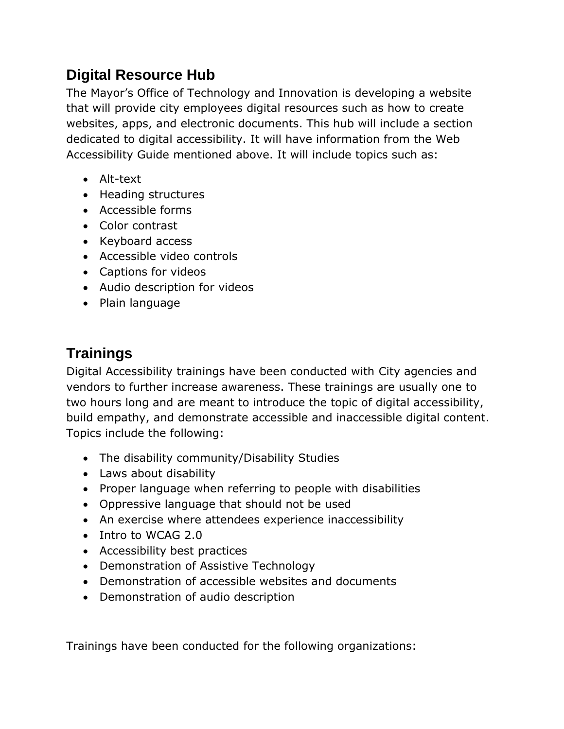## **Digital Resource Hub**

The Mayor's Office of Technology and Innovation is developing a website that will provide city employees digital resources such as how to create websites, apps, and electronic documents. This hub will include a section dedicated to digital accessibility. It will have information from the Web Accessibility Guide mentioned above. It will include topics such as:

- Alt-text
- Heading structures
- Accessible forms
- Color contrast
- Keyboard access
- Accessible video controls
- Captions for videos
- Audio description for videos
- Plain language

## **Trainings**

Digital Accessibility trainings have been conducted with City agencies and vendors to further increase awareness. These trainings are usually one to two hours long and are meant to introduce the topic of digital accessibility, build empathy, and demonstrate accessible and inaccessible digital content. Topics include the following:

- The disability community/Disability Studies
- Laws about disability
- Proper language when referring to people with disabilities
- Oppressive language that should not be used
- An exercise where attendees experience inaccessibility
- Intro to WCAG 2.0
- Accessibility best practices
- Demonstration of Assistive Technology
- Demonstration of accessible websites and documents
- Demonstration of audio description

Trainings have been conducted for the following organizations: